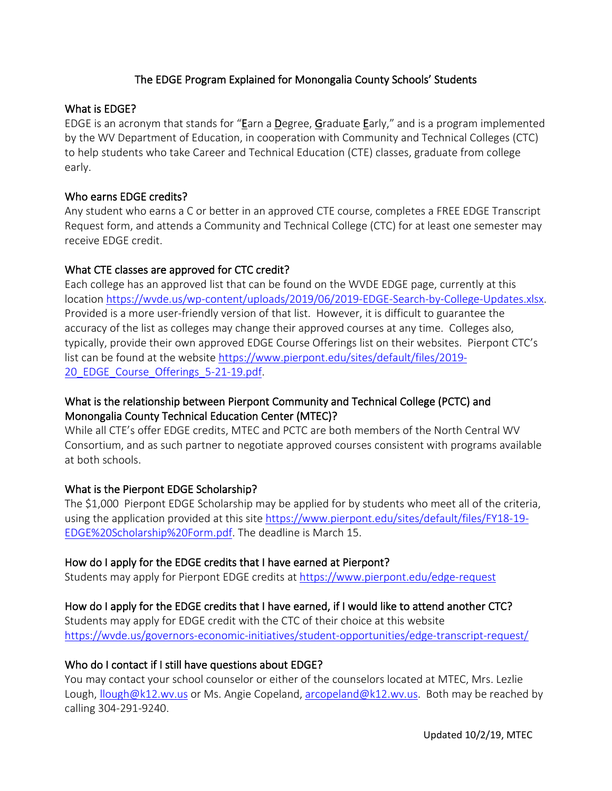## The EDGE Program Explained for Monongalia County Schools' Students

### What is EDGE?

EDGE is an acronym that stands for "Earn a Degree, Graduate Early," and is a program implemented by the WV Department of Education, in cooperation with Community and Technical Colleges (CTC) to help students who take Career and Technical Education (CTE) classes, graduate from college early.

### Who earns EDGE credits?

Any student who earns a C or better in an approved CTE course, completes a FREE EDGE Transcript Request form, and attends a Community and Technical College (CTC) for at least one semester may receive EDGE credit.

## What CTE classes are approved for CTC credit?

Each college has an approved list that can be found on the WVDE EDGE page, currently at this location [https://wvde.us/wp-content/uploads/2019/06/2019-EDGE-Search-by-College-Updates.xlsx.](https://wvde.us/wp-content/uploads/2019/06/2019-EDGE-Search-by-College-Updates.xlsx) Provided is a more user-friendly version of that list. However, it is difficult to guarantee the accuracy of the list as colleges may change their approved courses at any time. Colleges also, typically, provide their own approved EDGE Course Offerings list on their websites. Pierpont CTC's list can be found at the website [https://www.pierpont.edu/sites/default/files/2019-](https://www.pierpont.edu/sites/default/files/2019-20_EDGE_Course_Offerings_5-21-19.pdf) 20 EDGE Course Offerings 5-21-19.pdf.

# What is the relationship between Pierpont Community and Technical College (PCTC) and Monongalia County Technical Education Center (MTEC)?

While all CTE's offer EDGE credits, MTEC and PCTC are both members of the North Central WV Consortium, and as such partner to negotiate approved courses consistent with programs available at both schools.

# What is the Pierpont EDGE Scholarship?

The \$1,000 Pierpont EDGE Scholarship may be applied for by students who meet all of the criteria, using the application provided at this sit[e https://www.pierpont.edu/sites/default/files/FY18-19-](https://www.pierpont.edu/sites/default/files/FY18-19-EDGE%20Scholarship%20Form.pdf) [EDGE%20Scholarship%20Form.pdf.](https://www.pierpont.edu/sites/default/files/FY18-19-EDGE%20Scholarship%20Form.pdf) The deadline is March 15.

### How do I apply for the EDGE credits that I have earned at Pierpont?

Students may apply for Pierpont EDGE credits at<https://www.pierpont.edu/edge-request>

# How do I apply for the EDGE credits that I have earned, if I would like to attend another CTC?

Students may apply for EDGE credit with the CTC of their choice at this website <https://wvde.us/governors-economic-initiatives/student-opportunities/edge-transcript-request/>

# Who do I contact if I still have questions about EDGE?

You may contact your school counselor or either of the counselors located at MTEC, Mrs. Lezlie Lough, Ilough@k12.wv.us or Ms. Angie Copeland, [arcopeland@k12.wv.us.](mailto:arcopeland@k12.wv.us) Both may be reached by calling 304-291-9240.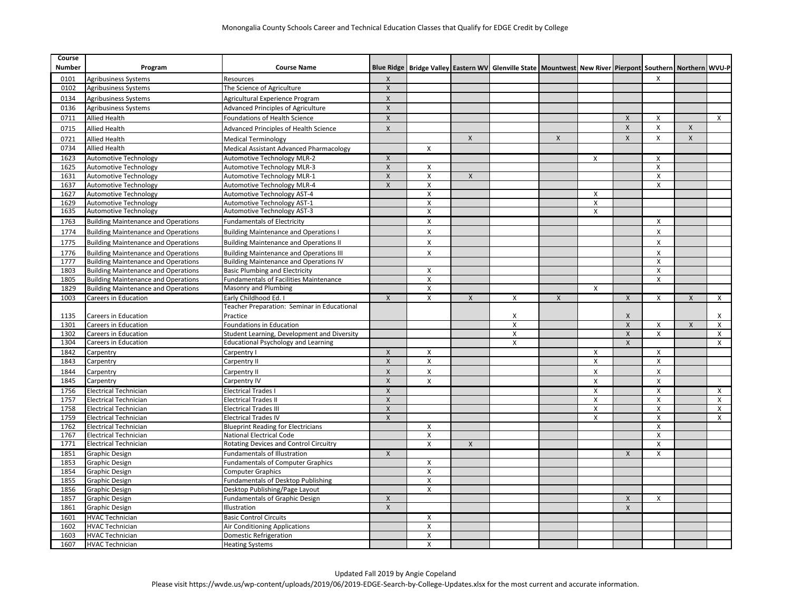| $\mathsf{X}$<br>$\mathsf{X}$<br>0101<br>Agribusiness Systems<br>Resources<br>0102<br><b>Agribusiness Systems</b><br>The Science of Agriculture<br>$\pmb{\times}$<br>Agribusiness Systems<br>$\pmb{\mathsf{X}}$<br>0134<br>Agricultural Experience Program<br>$\overline{\mathsf{x}}$<br>Advanced Principles of Agriculture<br>0136<br><b>Agribusiness Systems</b><br>$\overline{X}$<br><b>Allied Health</b><br>Foundations of Health Science<br>0711<br>$\boldsymbol{X}$<br>$\pmb{\times}$<br>$\mathsf{X}$<br>X<br>$\mathsf{X}$<br><b>Allied Health</b><br>X<br>0715<br>Advanced Principles of Health Science<br>$\mathsf{x}$<br>$\overline{\mathsf{x}}$<br>$\boldsymbol{\mathsf{x}}$<br>$\pmb{\times}$<br>$\boldsymbol{\mathsf{x}}$<br>0721<br><b>Allied Health</b><br><b>Medical Terminology</b><br>0734<br><b>Allied Health</b><br>Medical Assistant Advanced Pharmacology<br>X |              |
|------------------------------------------------------------------------------------------------------------------------------------------------------------------------------------------------------------------------------------------------------------------------------------------------------------------------------------------------------------------------------------------------------------------------------------------------------------------------------------------------------------------------------------------------------------------------------------------------------------------------------------------------------------------------------------------------------------------------------------------------------------------------------------------------------------------------------------------------------------------------------------|--------------|
|                                                                                                                                                                                                                                                                                                                                                                                                                                                                                                                                                                                                                                                                                                                                                                                                                                                                                    |              |
|                                                                                                                                                                                                                                                                                                                                                                                                                                                                                                                                                                                                                                                                                                                                                                                                                                                                                    |              |
|                                                                                                                                                                                                                                                                                                                                                                                                                                                                                                                                                                                                                                                                                                                                                                                                                                                                                    |              |
|                                                                                                                                                                                                                                                                                                                                                                                                                                                                                                                                                                                                                                                                                                                                                                                                                                                                                    |              |
|                                                                                                                                                                                                                                                                                                                                                                                                                                                                                                                                                                                                                                                                                                                                                                                                                                                                                    | $\mathsf{x}$ |
|                                                                                                                                                                                                                                                                                                                                                                                                                                                                                                                                                                                                                                                                                                                                                                                                                                                                                    |              |
|                                                                                                                                                                                                                                                                                                                                                                                                                                                                                                                                                                                                                                                                                                                                                                                                                                                                                    |              |
|                                                                                                                                                                                                                                                                                                                                                                                                                                                                                                                                                                                                                                                                                                                                                                                                                                                                                    |              |
|                                                                                                                                                                                                                                                                                                                                                                                                                                                                                                                                                                                                                                                                                                                                                                                                                                                                                    |              |
| 1623<br><b>Automotive Technology MLR-2</b><br>Automotive Technology<br>X<br>X<br>х                                                                                                                                                                                                                                                                                                                                                                                                                                                                                                                                                                                                                                                                                                                                                                                                 |              |
| $\pmb{\chi}$<br>1625<br><b>Automotive Technology</b><br>Automotive Technology MLR-3<br>X<br>X                                                                                                                                                                                                                                                                                                                                                                                                                                                                                                                                                                                                                                                                                                                                                                                      |              |
| $\pmb{\mathsf{X}}$<br>X<br>1631<br><b>Automotive Technology</b><br><b>Automotive Technology MLR-1</b><br>X<br>X<br><b>Automotive Technology</b><br>Automotive Technology MLR-4<br>$\pmb{\mathsf{X}}$<br>$\boldsymbol{\mathsf{X}}$<br>$\boldsymbol{\mathsf{X}}$<br>1637                                                                                                                                                                                                                                                                                                                                                                                                                                                                                                                                                                                                             |              |
| 1627<br><b>Automotive Technology</b><br>Automotive Technology AST-4<br>X<br>X                                                                                                                                                                                                                                                                                                                                                                                                                                                                                                                                                                                                                                                                                                                                                                                                      |              |
| 1629<br><b>Automotive Technology AST-1</b><br>X<br>X<br><b>Automotive Technology</b>                                                                                                                                                                                                                                                                                                                                                                                                                                                                                                                                                                                                                                                                                                                                                                                               |              |
| 1635<br>Automotive Technology AST-3<br><b>Automotive Technology</b><br>Χ<br>X                                                                                                                                                                                                                                                                                                                                                                                                                                                                                                                                                                                                                                                                                                                                                                                                      |              |
| $\boldsymbol{\mathsf{x}}$<br>1763<br><b>Building Maintenance and Operations</b><br><b>Fundamentals of Electricity</b><br>X                                                                                                                                                                                                                                                                                                                                                                                                                                                                                                                                                                                                                                                                                                                                                         |              |
|                                                                                                                                                                                                                                                                                                                                                                                                                                                                                                                                                                                                                                                                                                                                                                                                                                                                                    |              |
| X<br>$\boldsymbol{\mathsf{X}}$<br>1774<br><b>Building Maintenance and Operations</b><br><b>Building Maintenance and Operations I</b>                                                                                                                                                                                                                                                                                                                                                                                                                                                                                                                                                                                                                                                                                                                                               |              |
| $\mathsf{x}$<br>$\boldsymbol{\mathsf{x}}$<br>1775<br><b>Building Maintenance and Operations</b><br><b>Building Maintenance and Operations II</b>                                                                                                                                                                                                                                                                                                                                                                                                                                                                                                                                                                                                                                                                                                                                   |              |
| $\mathsf{x}$<br>$\mathsf{x}$<br>1776<br><b>Building Maintenance and Operations</b><br><b>Building Maintenance and Operations III</b>                                                                                                                                                                                                                                                                                                                                                                                                                                                                                                                                                                                                                                                                                                                                               |              |
| 1777<br><b>Building Maintenance and Operations</b><br><b>Building Maintenance and Operations IV</b><br>$\boldsymbol{\mathsf{x}}$                                                                                                                                                                                                                                                                                                                                                                                                                                                                                                                                                                                                                                                                                                                                                   |              |
| $\boldsymbol{\mathsf{X}}$<br>1803<br><b>Building Maintenance and Operations</b><br><b>Basic Plumbing and Electricity</b><br>X                                                                                                                                                                                                                                                                                                                                                                                                                                                                                                                                                                                                                                                                                                                                                      |              |
| <b>Building Maintenance and Operations</b><br><b>Fundamentals of Facilities Maintenance</b><br>$\pmb{\times}$<br>$\boldsymbol{\mathsf{x}}$<br>1805                                                                                                                                                                                                                                                                                                                                                                                                                                                                                                                                                                                                                                                                                                                                 |              |
| 1829<br>Masonry and Plumbing<br>X<br><b>Building Maintenance and Operations</b><br>X                                                                                                                                                                                                                                                                                                                                                                                                                                                                                                                                                                                                                                                                                                                                                                                               |              |
| Early Childhood Ed. I<br>1003<br>Careers in Education<br>$\pmb{\times}$<br>X<br>$\pmb{\chi}$<br>X<br>$\mathsf{x}$<br>X<br>$\mathsf{X}$<br>$\boldsymbol{\mathsf{X}}$                                                                                                                                                                                                                                                                                                                                                                                                                                                                                                                                                                                                                                                                                                                | X            |
| Teacher Preparation: Seminar in Educational                                                                                                                                                                                                                                                                                                                                                                                                                                                                                                                                                                                                                                                                                                                                                                                                                                        |              |
| 1135<br>Careers in Education<br>Practice<br>Χ<br>$\boldsymbol{X}$                                                                                                                                                                                                                                                                                                                                                                                                                                                                                                                                                                                                                                                                                                                                                                                                                  | X            |
| Careers in Education<br>Foundations in Education<br>$\mathsf{X}$<br>$\mathsf{X}$<br>1301<br>X<br>Х                                                                                                                                                                                                                                                                                                                                                                                                                                                                                                                                                                                                                                                                                                                                                                                 | X            |
| X<br>$\mathsf{x}$<br>$\boldsymbol{\mathsf{X}}$<br>1302<br>Careers in Education<br>Student Learning, Development and Diversity                                                                                                                                                                                                                                                                                                                                                                                                                                                                                                                                                                                                                                                                                                                                                      | X            |
| 1304<br>Careers in Education<br><b>Educational Psychology and Learning</b><br>X<br>$\mathsf{x}$                                                                                                                                                                                                                                                                                                                                                                                                                                                                                                                                                                                                                                                                                                                                                                                    | X            |
| 1842<br>Carpentry<br>Carpentry I<br>X<br>X<br>Х<br>х                                                                                                                                                                                                                                                                                                                                                                                                                                                                                                                                                                                                                                                                                                                                                                                                                               |              |
| $\mathsf{x}$<br>1843<br>Carpentry<br>Carpentry II<br>X<br>X<br>X                                                                                                                                                                                                                                                                                                                                                                                                                                                                                                                                                                                                                                                                                                                                                                                                                   |              |
| $\mathsf{x}$<br>X<br>X<br>$\boldsymbol{\mathsf{x}}$<br>1844<br>Carpentry II<br>Carpentry                                                                                                                                                                                                                                                                                                                                                                                                                                                                                                                                                                                                                                                                                                                                                                                           |              |
| $\pmb{\mathsf{X}}$<br>1845<br>Carpentry<br>Carpentry IV<br>$\pmb{\chi}$<br>$\pmb{\times}$<br>$\boldsymbol{\mathsf{X}}$                                                                                                                                                                                                                                                                                                                                                                                                                                                                                                                                                                                                                                                                                                                                                             |              |
| 1756<br><b>Electrical Technician</b><br><b>Electrical Trades I</b><br>X<br>X<br>X                                                                                                                                                                                                                                                                                                                                                                                                                                                                                                                                                                                                                                                                                                                                                                                                  | X            |
| X<br>$\boldsymbol{\mathsf{x}}$<br>$\boldsymbol{\mathsf{X}}$<br>1757<br><b>Electrical Technician</b><br><b>Electrical Trades II</b>                                                                                                                                                                                                                                                                                                                                                                                                                                                                                                                                                                                                                                                                                                                                                 | X            |
| $\pmb{\mathsf{X}}$<br>$\pmb{\times}$<br>1758<br><b>Electrical Technician</b><br><b>Electrical Trades III</b><br>X                                                                                                                                                                                                                                                                                                                                                                                                                                                                                                                                                                                                                                                                                                                                                                  | X            |
| <b>Electrical Technician</b><br>1759<br><b>Electrical Trades IV</b><br>$\pmb{\times}$<br>X<br>X                                                                                                                                                                                                                                                                                                                                                                                                                                                                                                                                                                                                                                                                                                                                                                                    | X            |
| $\boldsymbol{\mathsf{x}}$<br>1762<br><b>Electrical Technician</b><br>X<br><b>Blueprint Reading for Electricians</b>                                                                                                                                                                                                                                                                                                                                                                                                                                                                                                                                                                                                                                                                                                                                                                |              |
| $\pmb{\times}$<br>1767<br><b>Electrical Technician</b><br><b>National Electrical Code</b><br>$\boldsymbol{\mathsf{x}}$                                                                                                                                                                                                                                                                                                                                                                                                                                                                                                                                                                                                                                                                                                                                                             |              |
| 1771<br><b>Electrical Technician</b><br>Rotating Devices and Control Circuitry<br>X<br>X<br>X                                                                                                                                                                                                                                                                                                                                                                                                                                                                                                                                                                                                                                                                                                                                                                                      |              |
| 1851<br><b>Graphic Design</b><br>Fundamentals of Illustration<br>X<br>X<br>$\boldsymbol{\mathsf{X}}$<br>1853<br>X                                                                                                                                                                                                                                                                                                                                                                                                                                                                                                                                                                                                                                                                                                                                                                  |              |
| <b>Graphic Design</b><br><b>Fundamentals of Computer Graphics</b>                                                                                                                                                                                                                                                                                                                                                                                                                                                                                                                                                                                                                                                                                                                                                                                                                  |              |
| 1854<br><b>Graphic Design</b><br><b>Computer Graphics</b><br>Χ<br><b>Fundamentals of Desktop Publishing</b><br>X<br>1855<br>Graphic Design                                                                                                                                                                                                                                                                                                                                                                                                                                                                                                                                                                                                                                                                                                                                         |              |
| 1856<br>Graphic Design<br>Desktop Publishing/Page Layout<br>$\boldsymbol{\mathsf{x}}$                                                                                                                                                                                                                                                                                                                                                                                                                                                                                                                                                                                                                                                                                                                                                                                              |              |
| <b>Fundamentals of Graphic Design</b><br>1857<br><b>Graphic Design</b><br>X<br>X<br>X                                                                                                                                                                                                                                                                                                                                                                                                                                                                                                                                                                                                                                                                                                                                                                                              |              |
| $\pmb{\mathsf{X}}$<br>1861<br><b>Graphic Design</b><br>Illustration<br>$\boldsymbol{\mathsf{X}}$                                                                                                                                                                                                                                                                                                                                                                                                                                                                                                                                                                                                                                                                                                                                                                                   |              |
| <b>HVAC Technician</b><br>1601<br><b>Basic Control Circuits</b><br>Х                                                                                                                                                                                                                                                                                                                                                                                                                                                                                                                                                                                                                                                                                                                                                                                                               |              |
| 1602<br><b>HVAC Technician</b><br>Air Conditioning Applications<br>$\boldsymbol{\mathsf{x}}$                                                                                                                                                                                                                                                                                                                                                                                                                                                                                                                                                                                                                                                                                                                                                                                       |              |
| 1603<br><b>HVAC Technician</b><br><b>Domestic Refrigeration</b><br>X                                                                                                                                                                                                                                                                                                                                                                                                                                                                                                                                                                                                                                                                                                                                                                                                               |              |
| 1607<br><b>HVAC Technician</b><br><b>Heating Systems</b><br>$\mathsf{x}$                                                                                                                                                                                                                                                                                                                                                                                                                                                                                                                                                                                                                                                                                                                                                                                                           |              |